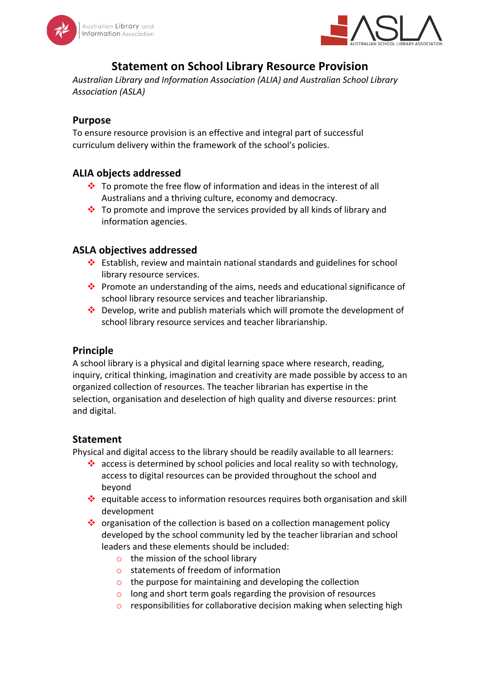



# **Statement on School Library Resource Provision**

Australian Library and Information Association (ALIA) and Australian School Library *Association (ASLA)*

### **Purpose**

To ensure resource provision is an effective and integral part of successful curriculum delivery within the framework of the school's policies.

# **ALIA objects addressed**

- $\cdot$  To promote the free flow of information and ideas in the interest of all Australians and a thriving culture, economy and democracy.
- $\cdot$  To promote and improve the services provided by all kinds of library and information agencies.

# **ASLA objectives addressed**

- $\cdot$  Establish, review and maintain national standards and guidelines for school library resource services.
- $\cdot$  Promote an understanding of the aims, needs and educational significance of school library resource services and teacher librarianship.
- Develop, write and publish materials which will promote the development of school library resource services and teacher librarianship.

#### **Principle**

A school library is a physical and digital learning space where research, reading, inquiry, critical thinking, imagination and creativity are made possible by access to an organized collection of resources. The teacher librarian has expertise in the selection, organisation and deselection of high quality and diverse resources: print and digital.

#### **Statement**

Physical and digital access to the library should be readily available to all learners:

- $\cdot$  access is determined by school policies and local reality so with technology, access to digital resources can be provided throughout the school and beyond
- equitable access to information resources requires both organisation and skill development
- $\cdot$  organisation of the collection is based on a collection management policy developed by the school community led by the teacher librarian and school leaders and these elements should be included:
	- $\circ$  the mission of the school library
	- $\circ$  statements of freedom of information
	- $\circ$  the purpose for maintaining and developing the collection
	- $\circ$  long and short term goals regarding the provision of resources
	- $\circ$  responsibilities for collaborative decision making when selecting high